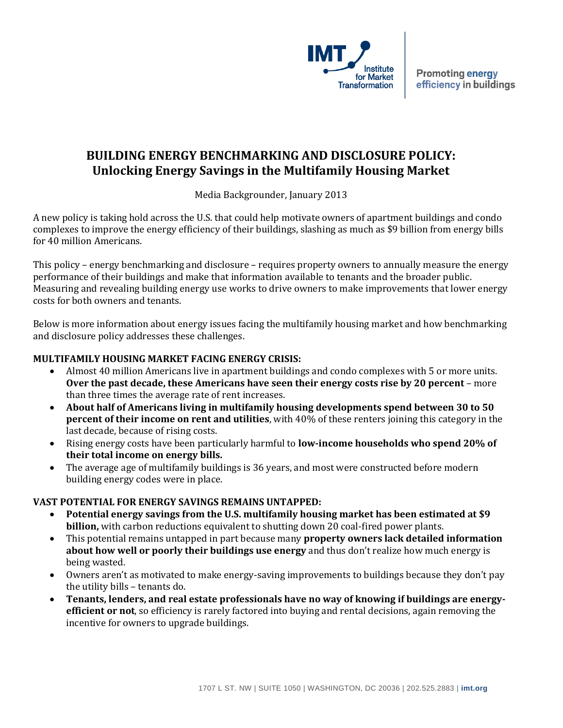

# **BUILDING ENERGY BENCHMARKING AND DISCLOSURE POLICY: Unlocking Energy Savings in the Multifamily Housing Market**

Media Backgrounder, January 2013

A new policy is taking hold across the U.S. that could help motivate owners of apartment buildings and condo complexes to improve the energy efficiency of their buildings, slashing as much as \$9 billion from energy bills for 40 million Americans.

This policy – energy benchmarking and disclosure – requires property owners to annually measure the energy performance of their buildings and make that information available to tenants and the broader public. Measuring and revealing building energy use works to drive owners to make improvements that lower energy costs for both owners and tenants.

Below is more information about energy issues facing the multifamily housing market and how benchmarking and disclosure policy addresses these challenges.

## **MULTIFAMILY HOUSING MARKET FACING ENERGY CRISIS:**

- Almost 40 million Americans live in apartment buildings and condo complexes with 5 or more units. **Over the past decade, these Americans have seen their energy costs rise by 20 percent** – more than three times the average rate of rent increases.
- **About half of Americans living in multifamily housing developments spend between 30 to 50 percent of their income on rent and utilities**, with 40% of these renters joining this category in the last decade, because of rising costs.
- Rising energy costs have been particularly harmful to **low-income households who spend 20% of their total income on energy bills.**
- The average age of multifamily buildings is 36 years, and most were constructed before modern building energy codes were in place.

## **VAST POTENTIAL FOR ENERGY SAVINGS REMAINS UNTAPPED:**

- **Potential energy savings from the U.S. multifamily housing market has been estimated at \$9 billion,** with carbon reductions equivalent to shutting down 20 coal-fired power plants.
- This potential remains untapped in part because many **property owners lack detailed information about how well or poorly their buildings use energy** and thus don't realize how much energy is being wasted.
- Owners aren't as motivated to make energy-saving improvements to buildings because they don't pay the utility bills – tenants do.
- **Tenants, lenders, and real estate professionals have no way of knowing if buildings are energyefficient or not**, so efficiency is rarely factored into buying and rental decisions, again removing the incentive for owners to upgrade buildings.